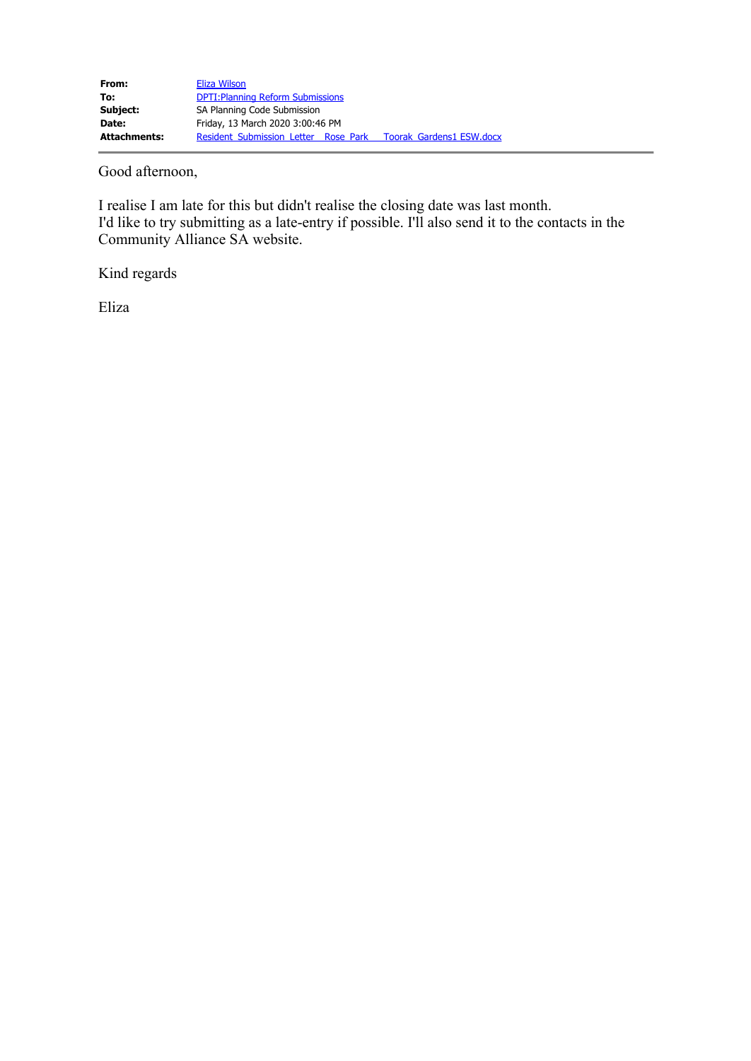Good afternoon,

I realise I am late for this but didn't realise the closing date was last month. I'd like to try submitting as a late-entry if possible. I'll also send it to the contacts in the Community Alliance SA website.

Kind regards

Eliza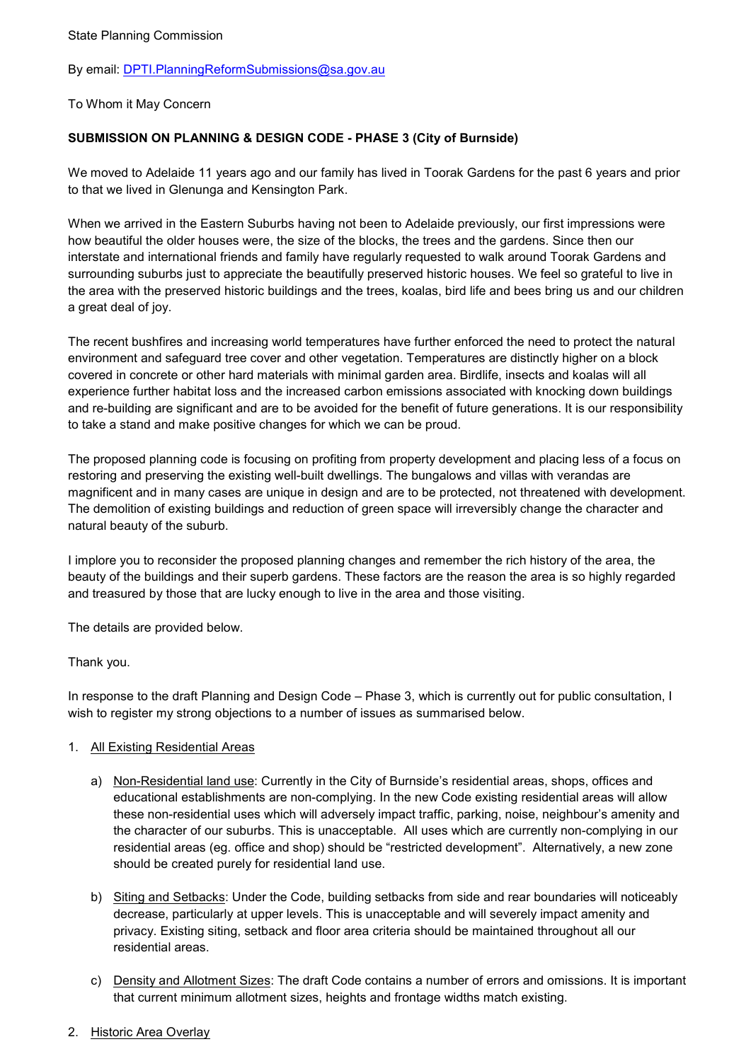By email: [DPTI.PlanningReformSubmissions@sa.gov.au](mailto:DPTI.PlanningReformSubmissions@sa.gov.au)

To Whom it May Concern

### **SUBMISSION ON PLANNING & DESIGN CODE - PHASE 3 (City of Burnside)**

We moved to Adelaide 11 years ago and our family has lived in Toorak Gardens for the past 6 years and prior to that we lived in Glenunga and Kensington Park.

When we arrived in the Eastern Suburbs having not been to Adelaide previously, our first impressions were how beautiful the older houses were, the size of the blocks, the trees and the gardens. Since then our interstate and international friends and family have regularly requested to walk around Toorak Gardens and surrounding suburbs just to appreciate the beautifully preserved historic houses. We feel so grateful to live in the area with the preserved historic buildings and the trees, koalas, bird life and bees bring us and our children a great deal of joy.

The recent bushfires and increasing world temperatures have further enforced the need to protect the natural environment and safeguard tree cover and other vegetation. Temperatures are distinctly higher on a block covered in concrete or other hard materials with minimal garden area. Birdlife, insects and koalas will all experience further habitat loss and the increased carbon emissions associated with knocking down buildings and re-building are significant and are to be avoided for the benefit of future generations. It is our responsibility to take a stand and make positive changes for which we can be proud.

The proposed planning code is focusing on profiting from property development and placing less of a focus on restoring and preserving the existing well-built dwellings. The bungalows and villas with verandas are magnificent and in many cases are unique in design and are to be protected, not threatened with development. The demolition of existing buildings and reduction of green space will irreversibly change the character and natural beauty of the suburb.

I implore you to reconsider the proposed planning changes and remember the rich history of the area, the beauty of the buildings and their superb gardens. These factors are the reason the area is so highly regarded and treasured by those that are lucky enough to live in the area and those visiting.

The details are provided below.

#### Thank you.

In response to the draft Planning and Design Code – Phase 3, which is currently out for public consultation, I wish to register my strong objections to a number of issues as summarised below.

#### 1. All Existing Residential Areas

- a) Non-Residential land use: Currently in the City of Burnside's residential areas, shops, offices and educational establishments are non-complying. In the new Code existing residential areas will allow these non-residential uses which will adversely impact traffic, parking, noise, neighbour's amenity and the character of our suburbs. This is unacceptable. All uses which are currently non-complying in our residential areas (eg. office and shop) should be "restricted development". Alternatively, a new zone should be created purely for residential land use.
- b) Siting and Setbacks: Under the Code, building setbacks from side and rear boundaries will noticeably decrease, particularly at upper levels. This is unacceptable and will severely impact amenity and privacy. Existing siting, setback and floor area criteria should be maintained throughout all our residential areas.
- c) Density and Allotment Sizes: The draft Code contains a number of errors and omissions. It is important that current minimum allotment sizes, heights and frontage widths match existing.

#### 2. Historic Area Overlay